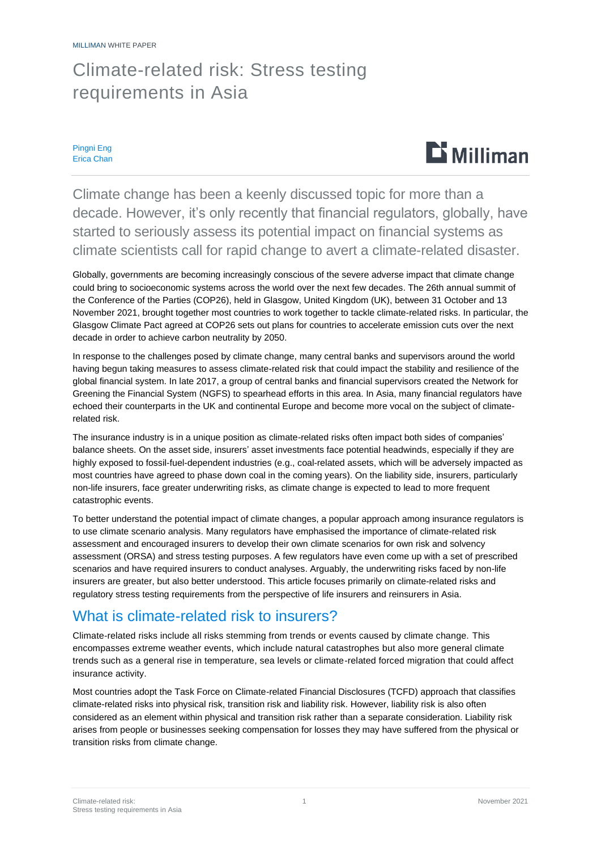## Climate-related risk: Stress testing requirements in Asia

Pingni Eng Erica Chan



Climate change has been a keenly discussed topic for more than a decade. However, it's only recently that financial regulators, globally, have started to seriously assess its potential impact on financial systems as climate scientists call for rapid change to avert a climate-related disaster.

Globally, governments are becoming increasingly conscious of the severe adverse impact that climate change could bring to socioeconomic systems across the world over the next few decades. The 26th annual summit of the Conference of the Parties (COP26), held in Glasgow, United Kingdom (UK), between 31 October and 13 November 2021, brought together most countries to work together to tackle climate-related risks. In particular, the Glasgow Climate Pact agreed at COP26 sets out plans for countries to accelerate emission cuts over the next decade in order to achieve carbon neutrality by 2050.

In response to the challenges posed by climate change, many central banks and supervisors around the world having begun taking measures to assess climate-related risk that could impact the stability and resilience of the global financial system. In late 2017, a group of central banks and financial supervisors created the Network for Greening the Financial System (NGFS) to spearhead efforts in this area. In Asia, many financial regulators have echoed their counterparts in the UK and continental Europe and become more vocal on the subject of climaterelated risk.

The insurance industry is in a unique position as climate-related risks often impact both sides of companies' balance sheets. On the asset side, insurers' asset investments face potential headwinds, especially if they are highly exposed to fossil-fuel-dependent industries (e.g., coal-related assets, which will be adversely impacted as most countries have agreed to phase down coal in the coming years). On the liability side, insurers, particularly non-life insurers, face greater underwriting risks, as climate change is expected to lead to more frequent catastrophic events.

To better understand the potential impact of climate changes, a popular approach among insurance regulators is to use climate scenario analysis. Many regulators have emphasised the importance of climate-related risk assessment and encouraged insurers to develop their own climate scenarios for own risk and solvency assessment (ORSA) and stress testing purposes. A few regulators have even come up with a set of prescribed scenarios and have required insurers to conduct analyses. Arguably, the underwriting risks faced by non-life insurers are greater, but also better understood. This article focuses primarily on climate-related risks and regulatory stress testing requirements from the perspective of life insurers and reinsurers in Asia.

## What is climate-related risk to insurers?

Climate-related risks include all risks stemming from trends or events caused by climate change. This encompasses extreme weather events, which include natural catastrophes but also more general climate trends such as a general rise in temperature, sea levels or climate-related forced migration that could affect insurance activity.

Most countries adopt the Task Force on Climate-related Financial Disclosures (TCFD) approach that classifies climate-related risks into physical risk, transition risk and liability risk. However, liability risk is also often considered as an element within physical and transition risk rather than a separate consideration. Liability risk arises from people or businesses seeking compensation for losses they may have suffered from the physical or transition risks from climate change.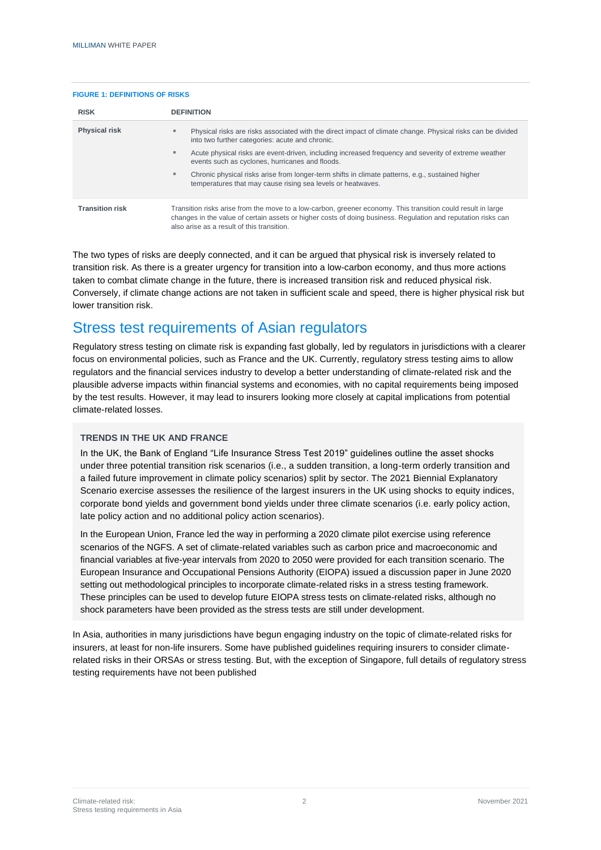#### **FIGURE 1: DEFINITIONS OF RISKS**

| <b>RISK</b>            | <b>DEFINITION</b>                                                                                                                                                                                                                                                           |  |  |
|------------------------|-----------------------------------------------------------------------------------------------------------------------------------------------------------------------------------------------------------------------------------------------------------------------------|--|--|
| <b>Physical risk</b>   | Physical risks are risks associated with the direct impact of climate change. Physical risks can be divided<br>٠<br>into two further categories: acute and chronic.                                                                                                         |  |  |
|                        | Acute physical risks are event-driven, including increased frequency and severity of extreme weather<br>٠<br>events such as cyclones, hurricanes and floods.                                                                                                                |  |  |
|                        | Chronic physical risks arise from longer-term shifts in climate patterns, e.g., sustained higher<br>temperatures that may cause rising sea levels or heatwaves.                                                                                                             |  |  |
| <b>Transition risk</b> | Transition risks arise from the move to a low-carbon, greener economy. This transition could result in large<br>changes in the value of certain assets or higher costs of doing business. Regulation and reputation risks can<br>also arise as a result of this transition. |  |  |

The two types of risks are deeply connected, and it can be argued that physical risk is inversely related to transition risk. As there is a greater urgency for transition into a low-carbon economy, and thus more actions taken to combat climate change in the future, there is increased transition risk and reduced physical risk. Conversely, if climate change actions are not taken in sufficient scale and speed, there is higher physical risk but lower transition risk.

## Stress test requirements of Asian regulators

Regulatory stress testing on climate risk is expanding fast globally, led by regulators in jurisdictions with a clearer focus on environmental policies, such as France and the UK. Currently, regulatory stress testing aims to allow regulators and the financial services industry to develop a better understanding of climate-related risk and the plausible adverse impacts within financial systems and economies, with no capital requirements being imposed by the test results. However, it may lead to insurers looking more closely at capital implications from potential climate-related losses.

#### **TRENDS IN THE UK AND FRANCE**

In the UK, the Bank of England "Life Insurance Stress Test 2019" guidelines outline the asset shocks under three potential transition risk scenarios (i.e., a sudden transition, a long-term orderly transition and a failed future improvement in climate policy scenarios) split by sector. The 2021 Biennial Explanatory Scenario exercise assesses the resilience of the largest insurers in the UK using shocks to equity indices, corporate bond yields and government bond yields under three climate scenarios (i.e. early policy action, late policy action and no additional policy action scenarios).

In the European Union, France led the way in performing a 2020 climate pilot exercise using reference scenarios of the NGFS. A set of climate-related variables such as carbon price and macroeconomic and financial variables at five-year intervals from 2020 to 2050 were provided for each transition scenario. The European Insurance and Occupational Pensions Authority (EIOPA) issued a discussion paper in June 2020 setting out methodological principles to incorporate climate-related risks in a stress testing framework. These principles can be used to develop future EIOPA stress tests on climate-related risks, although no shock parameters have been provided as the stress tests are still under development.

In Asia, authorities in many jurisdictions have begun engaging industry on the topic of climate-related risks for insurers, at least for non-life insurers. Some have published guidelines requiring insurers to consider climaterelated risks in their ORSAs or stress testing. But, with the exception of Singapore, full details of regulatory stress testing requirements have not been published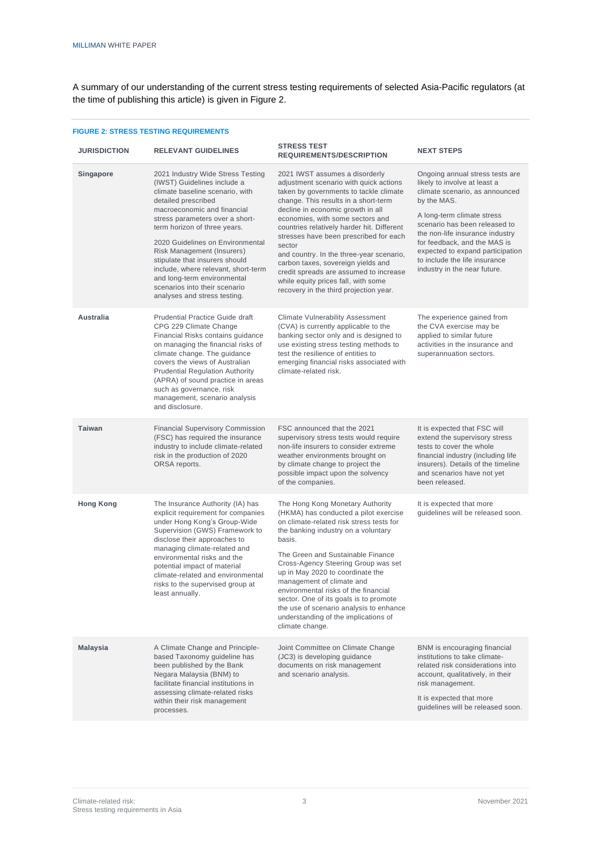A summary of our understanding of the current stress testing requirements of selected Asia-Pacific regulators (at the time of publishing this article) is given in Figure 2.

| <b>JURISDICTION</b> | <b>RELEVANT GUIDELINES</b>                                                                                                                                                                                                                                                                                                                                                                                                                                              | <b>STRESS TEST</b><br><b>REQUIREMENTS/DESCRIPTION</b>                                                                                                                                                                                                                                                                                                                                                                                                                                                                                              | <b>NEXT STEPS</b>                                                                                                                                                                                                                                                                                                                                       |
|---------------------|-------------------------------------------------------------------------------------------------------------------------------------------------------------------------------------------------------------------------------------------------------------------------------------------------------------------------------------------------------------------------------------------------------------------------------------------------------------------------|----------------------------------------------------------------------------------------------------------------------------------------------------------------------------------------------------------------------------------------------------------------------------------------------------------------------------------------------------------------------------------------------------------------------------------------------------------------------------------------------------------------------------------------------------|---------------------------------------------------------------------------------------------------------------------------------------------------------------------------------------------------------------------------------------------------------------------------------------------------------------------------------------------------------|
| Singapore           | 2021 Industry Wide Stress Testing<br>(IWST) Guidelines include a<br>climate baseline scenario, with<br>detailed prescribed<br>macroeconomic and financial<br>stress parameters over a short-<br>term horizon of three years.<br>2020 Guidelines on Environmental<br>Risk Management (Insurers)<br>stipulate that insurers should<br>include, where relevant, short-term<br>and long-term environmental<br>scenarios into their scenario<br>analyses and stress testing. | 2021 IWST assumes a disorderly<br>adjustment scenario with quick actions<br>taken by governments to tackle climate<br>change. This results in a short-term<br>decline in economic growth in all<br>economies, with some sectors and<br>countries relatively harder hit. Different<br>stresses have been prescribed for each<br>sector<br>and country. In the three-year scenario,<br>carbon taxes, sovereign yields and<br>credit spreads are assumed to increase<br>while equity prices fall, with some<br>recovery in the third projection year. | Ongoing annual stress tests are<br>likely to involve at least a<br>climate scenario, as announced<br>by the MAS.<br>A long-term climate stress<br>scenario has been released to<br>the non-life insurance industry<br>for feedback, and the MAS is<br>expected to expand participation<br>to include the life insurance<br>industry in the near future. |
| <b>Australia</b>    | <b>Prudential Practice Guide draft</b><br>CPG 229 Climate Change<br>Financial Risks contains guidance<br>on managing the financial risks of<br>climate change. The guidance<br>covers the views of Australian<br><b>Prudential Regulation Authority</b><br>(APRA) of sound practice in areas<br>such as governance, risk<br>management, scenario analysis<br>and disclosure.                                                                                            | <b>Climate Vulnerability Assessment</b><br>(CVA) is currently applicable to the<br>banking sector only and is designed to<br>use existing stress testing methods to<br>test the resilience of entities to<br>emerging financial risks associated with<br>climate-related risk.                                                                                                                                                                                                                                                                     | The experience gained from<br>the CVA exercise may be<br>applied to similar future<br>activities in the insurance and<br>superannuation sectors.                                                                                                                                                                                                        |
| <b>Taiwan</b>       | <b>Financial Supervisory Commission</b><br>(FSC) has required the insurance<br>industry to include climate-related<br>risk in the production of 2020<br>ORSA reports.                                                                                                                                                                                                                                                                                                   | FSC announced that the 2021<br>supervisory stress tests would require<br>non-life insurers to consider extreme<br>weather environments brought on<br>by climate change to project the<br>possible impact upon the solvency<br>of the companies.                                                                                                                                                                                                                                                                                                    | It is expected that FSC will<br>extend the supervisory stress<br>tests to cover the whole<br>financial industry (including life<br>insurers). Details of the timeline<br>and scenarios have not yet<br>been released.                                                                                                                                   |
| <b>Hong Kong</b>    | The Insurance Authority (IA) has<br>explicit requirement for companies<br>under Hong Kong's Group-Wide<br>Supervision (GWS) Framework to<br>disclose their approaches to<br>managing climate-related and<br>environmental risks and the<br>potential impact of material<br>climate-related and environmental<br>risks to the supervised group at<br>least annually.                                                                                                     | The Hong Kong Monetary Authority<br>(HKMA) has conducted a pilot exercise<br>on climate-related risk stress tests for<br>the banking industry on a voluntary<br>basis.<br>The Green and Sustainable Finance<br>Cross-Agency Steering Group was set<br>up in May 2020 to coordinate the<br>management of climate and<br>environmental risks of the financial<br>sector. One of its goals is to promote<br>the use of scenario analysis to enhance<br>understanding of the implications of<br>climate change.                                        | It is expected that more<br>guidelines will be released soon.                                                                                                                                                                                                                                                                                           |
| <b>Malaysia</b>     | A Climate Change and Principle-<br>based Taxonomy guideline has<br>been published by the Bank<br>Negara Malaysia (BNM) to<br>facilitate financial institutions in<br>assessing climate-related risks<br>within their risk management<br>processes.                                                                                                                                                                                                                      | Joint Committee on Climate Change<br>(JC3) is developing guidance<br>documents on risk management<br>and scenario analysis.                                                                                                                                                                                                                                                                                                                                                                                                                        | BNM is encouraging financial<br>institutions to take climate-<br>related risk considerations into<br>account, qualitatively, in their<br>risk management.<br>It is expected that more<br>guidelines will be released soon.                                                                                                                              |

#### **FIGURE 2: STRESS TESTING REQUIREMENTS**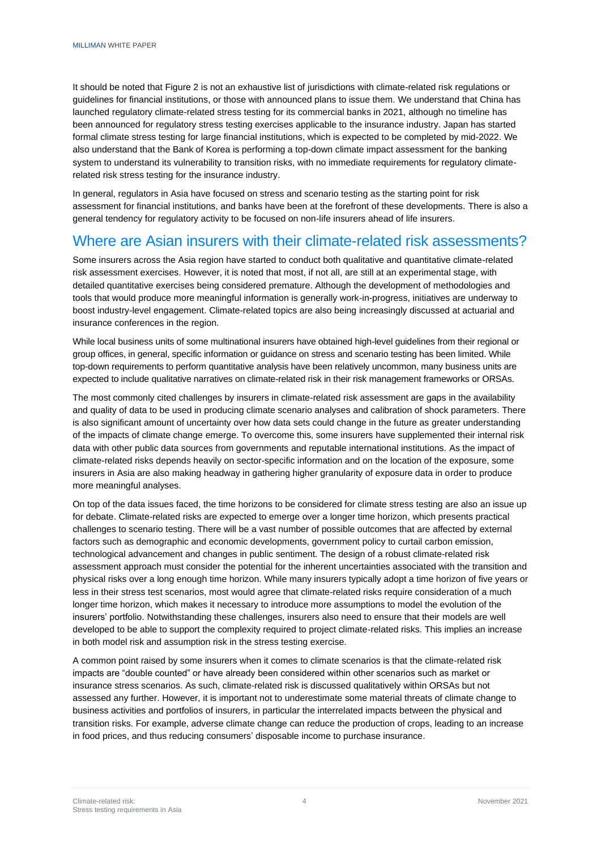It should be noted that Figure 2 is not an exhaustive list of jurisdictions with climate-related risk regulations or guidelines for financial institutions, or those with announced plans to issue them. We understand that China has launched regulatory climate-related stress testing for its commercial banks in 2021, although no timeline has been announced for regulatory stress testing exercises applicable to the insurance industry. Japan has started formal climate stress testing for large financial institutions, which is expected to be completed by mid-2022. We also understand that the Bank of Korea is performing a top-down climate impact assessment for the banking system to understand its vulnerability to transition risks, with no immediate requirements for regulatory climaterelated risk stress testing for the insurance industry.

In general, regulators in Asia have focused on stress and scenario testing as the starting point for risk assessment for financial institutions, and banks have been at the forefront of these developments. There is also a general tendency for regulatory activity to be focused on non-life insurers ahead of life insurers.

### Where are Asian insurers with their climate-related risk assessments?

Some insurers across the Asia region have started to conduct both qualitative and quantitative climate-related risk assessment exercises. However, it is noted that most, if not all, are still at an experimental stage, with detailed quantitative exercises being considered premature. Although the development of methodologies and tools that would produce more meaningful information is generally work-in-progress, initiatives are underway to boost industry-level engagement. Climate-related topics are also being increasingly discussed at actuarial and insurance conferences in the region.

While local business units of some multinational insurers have obtained high-level guidelines from their regional or group offices, in general, specific information or guidance on stress and scenario testing has been limited. While top-down requirements to perform quantitative analysis have been relatively uncommon, many business units are expected to include qualitative narratives on climate-related risk in their risk management frameworks or ORSAs.

The most commonly cited challenges by insurers in climate-related risk assessment are gaps in the availability and quality of data to be used in producing climate scenario analyses and calibration of shock parameters. There is also significant amount of uncertainty over how data sets could change in the future as greater understanding of the impacts of climate change emerge. To overcome this, some insurers have supplemented their internal risk data with other public data sources from governments and reputable international institutions. As the impact of climate-related risks depends heavily on sector-specific information and on the location of the exposure, some insurers in Asia are also making headway in gathering higher granularity of exposure data in order to produce more meaningful analyses.

On top of the data issues faced, the time horizons to be considered for climate stress testing are also an issue up for debate. Climate-related risks are expected to emerge over a longer time horizon, which presents practical challenges to scenario testing. There will be a vast number of possible outcomes that are affected by external factors such as demographic and economic developments, government policy to curtail carbon emission, technological advancement and changes in public sentiment. The design of a robust climate-related risk assessment approach must consider the potential for the inherent uncertainties associated with the transition and physical risks over a long enough time horizon. While many insurers typically adopt a time horizon of five years or less in their stress test scenarios, most would agree that climate-related risks require consideration of a much longer time horizon, which makes it necessary to introduce more assumptions to model the evolution of the insurers' portfolio. Notwithstanding these challenges, insurers also need to ensure that their models are well developed to be able to support the complexity required to project climate-related risks. This implies an increase in both model risk and assumption risk in the stress testing exercise.

A common point raised by some insurers when it comes to climate scenarios is that the climate-related risk impacts are "double counted" or have already been considered within other scenarios such as market or insurance stress scenarios. As such, climate-related risk is discussed qualitatively within ORSAs but not assessed any further. However, it is important not to underestimate some material threats of climate change to business activities and portfolios of insurers, in particular the interrelated impacts between the physical and transition risks. For example, adverse climate change can reduce the production of crops, leading to an increase in food prices, and thus reducing consumers' disposable income to purchase insurance.